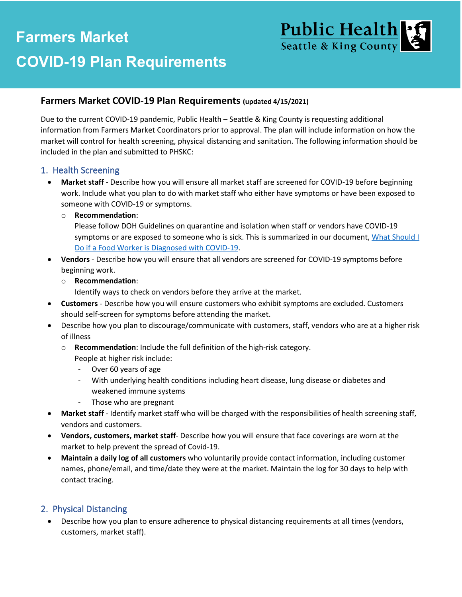# **dd COVID-19 Plan Requirements Farmers Market**



## **Farmers Market COVID-19 Plan Requirements (updated 4/15/2021)**

Due to the current COVID-19 pandemic, Public Health – Seattle & King County is requesting additional information from Farmers Market Coordinators prior to approval. The plan will include information on how the market will control for health screening, physical distancing and sanitation. The following information should be included in the plan and submitted to PHSKC:

#### 1. Health Screening

• **Market staff** - Describe how you will ensure all market staff are screened for COVID-19 before beginning work. Include what you plan to do with market staff who either have symptoms or have been exposed to someone with COVID-19 or symptoms.

#### o **Recommendation**:

Please follow DOH Guidelines on quarantine and isolation when staff or vendors have COVID-19 symptoms or are exposed to someone who is sick. This is summarized in our document[, What Should I](https://www.kingcounty.gov/depts/health/covid-19/workplaces/food-establishments/food-workers.aspx) [Do if a Food Worker is Diagnosed with COVID-19.](https://www.kingcounty.gov/depts/health/covid-19/workplaces/food-establishments/food-workers.aspx)

• **Vendors** - Describe how you will ensure that all vendors are screened for COVID-19 symptoms before beginning work.

#### o **Recommendation**:

Identify ways to check on vendors before they arrive at the market.

- **Customers** Describe how you will ensure customers who exhibit symptoms are excluded. Customers should self-screen for symptoms before attending the market.
- Describe how you plan to discourage/communicate with customers, staff, vendors who are at a higher risk of illness
	- o **Recommendation**: Include the full definition of the high-risk category.
		- People at higher risk include:
		- Over 60 years of age
		- With underlying health conditions including heart disease, lung disease or diabetes and weakened immune systems
		- Those who are pregnant
- **Market staff** Identify market staff who will be charged with the responsibilities of health screening staff, vendors and customers.
- **Vendors, customers, market staff** Describe how you will ensure that face coverings are worn at the market to help prevent the spread of Covid-19.
- **Maintain a daily log of all customers** who voluntarily provide contact information, including customer names, phone/email, and time/date they were at the market. Maintain the log for 30 days to help with contact tracing.

# 2. Physical Distancing

• Describe how you plan to ensure adherence to physical distancing requirements at all times (vendors, customers, market staff).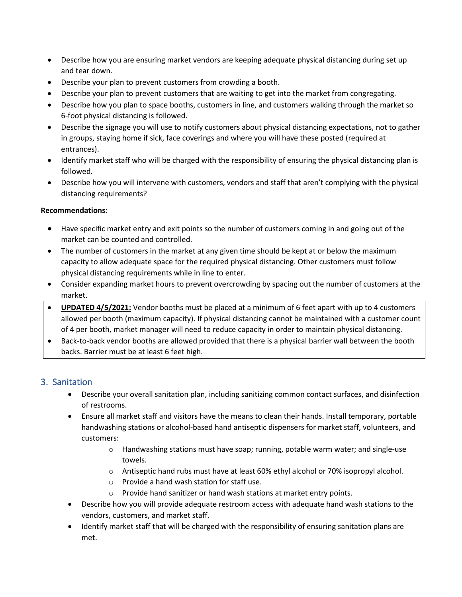- Describe how you are ensuring market vendors are keeping adequate physical distancing during set up and tear down.
- Describe your plan to prevent customers from crowding a booth.
- Describe your plan to prevent customers that are waiting to get into the market from congregating.
- Describe how you plan to space booths, customers in line, and customers walking through the market so 6-foot physical distancing is followed.
- Describe the signage you will use to notify customers about physical distancing expectations, not to gather in groups, staying home if sick, face coverings and where you will have these posted (required at entrances).
- Identify market staff who will be charged with the responsibility of ensuring the physical distancing plan is followed.
- Describe how you will intervene with customers, vendors and staff that aren't complying with the physical distancing requirements?

#### **Recommendations**:

- Have specific market entry and exit points so the number of customers coming in and going out of the market can be counted and controlled.
- The number of customers in the market at any given time should be kept at or below the maximum capacity to allow adequate space for the required physical distancing. Other customers must follow physical distancing requirements while in line to enter.
- Consider expanding market hours to prevent overcrowding by spacing out the number of customers at the market.
- **UPDATED 4/5/2021:** Vendor booths must be placed at a minimum of 6 feet apart with up to 4 customers allowed per booth (maximum capacity). If physical distancing cannot be maintained with a customer count of 4 per booth, market manager will need to reduce capacity in order to maintain physical distancing.
- Back-to-back vendor booths are allowed provided that there is a physical barrier wall between the booth backs. Barrier must be at least 6 feet high.

# 3. Sanitation

- Describe your overall sanitation plan, including sanitizing common contact surfaces, and disinfection of restrooms.
- Ensure all market staff and visitors have the means to clean their hands. Install temporary, portable handwashing stations or alcohol-based hand antiseptic dispensers for market staff, volunteers, and customers:
	- o Handwashing stations must have soap; running, potable warm water; and single-use towels.
	- $\circ$  Antiseptic hand rubs must have at least 60% ethyl alcohol or 70% isopropyl alcohol.
	- o Provide a hand wash station for staff use.
	- Provide hand sanitizer or hand wash stations at market entry points.
- Describe how you will provide adequate restroom access with adequate hand wash stations to the vendors, customers, and market staff.
- Identify market staff that will be charged with the responsibility of ensuring sanitation plans are met.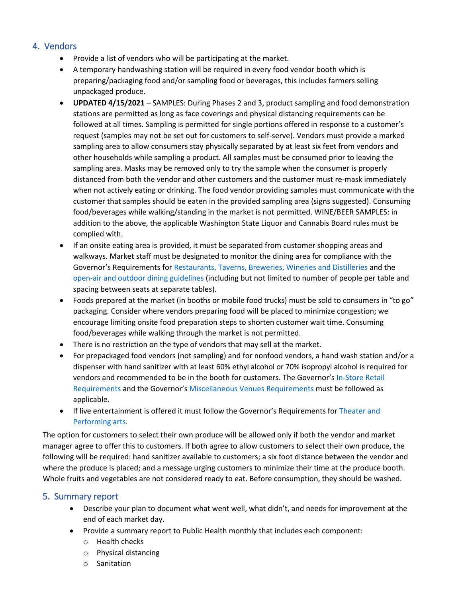## 4. Vendors

- Provide a list of vendors who will be participating at the market.
- A temporary handwashing station will be required in every food vendor booth which is preparing/packaging food and/or sampling food or beverages, this includes farmers selling unpackaged produce.
- **UPDATED 4/15/2021** SAMPLES: During Phases 2 and 3, product sampling and food demonstration stations are permitted as long as face coverings and physical distancing requirements can be followed at all times. Sampling is permitted for single portions offered in response to a customer's request (samples may not be set out for customers to self-serve). Vendors must provide a marked sampling area to allow consumers stay physically separated by at least six feet from vendors and other households while sampling a product. All samples must be consumed prior to leaving the sampling area. Masks may be removed only to try the sample when the consumer is properly distanced from both the vendor and other customers and the customer must re-mask immediately when not actively eating or drinking. The food vendor providing samples must communicate with the customer that samples should be eaten in the provided sampling area (signs suggested). Consuming food/beverages while walking/standing in the market is not permitted. WINE/BEER SAMPLES: in addition to the above, [the applicable](https://www.governor.wa.gov/sites/default/files/COVID19%20Outdoor%20Open%20Air%20Seating%20Guidance.pdf) Washington State Liquor and Cannabis Board rules must be complied with.
- If an onsite eating area is provided, it must be separated from customer shopping areas and walkways. Market staff must be designated to monitor the dining area for compliance with the Governor's Requirements for [Restaurants, Taverns, Breweries,](https://www.governor.wa.gov/sites/default/files/COVID19%20Restaurant%20and%20Tavern%20Guidance.pdf) Wineries and Distilleries and the open-air and outdoor dining guidelines (including but not limited to number of people per table and spacing between seats at separate tables).
- Foods prepared at the market (in booths or mobile food trucks) must be sold to consumers in "to go" packaging. Consider where vendors preparing food will be placed to minimize congestion; we encourage limiting onsite food preparation steps to shorten customer wait time. C[onsuming](https://www.governor.wa.gov/sites/default/files/COVID19%20In%20Store%20Retail%20Guidance.pdf) f[ood/beverages w](https://www.governor.wa.gov/sites/default/files/COVID19%20In%20Store%20Retail%20Guidance.pdf)hile walking through the market is not permitted.
- There is no restriction on the type of vendors that may sell at the market.
- For prepackaged food vendors (not sampling) and for nonfood vendors, a hand [wash station](https://www.governor.wa.gov/sites/default/files/COVID19%20Performing%20Arts%20Theater%20Sector%20Guidance.pdf) and/or a dispenser with hand sanitizer with at least 60% ethyl alcohol or 70% isopropyl alcohol is required for vendors [and recom](https://www.governor.wa.gov/sites/default/files/COVID19%20Performing%20Arts%20Theater%20Sector%20Guidance.pdf)mended to be in the booth for customers. The Governor's In-Store Retail Requirements and the Governor's [Miscellaneous Venues Requirements](https://www.governor.wa.gov/sites/default/files/COVID19%20Misc%20Venue%20Guidance.pdf) must be followed as applicable.
- If live entertainment is offered it must follow the Governor's Requirements for Theater and Performing arts.

The option for customers to select their own produce will be allowed only if both the vendor and market manager agree to offer this to customers. If both agree to allow customers to select their own produce, the following will be required: hand sanitizer available to customers; a six foot distance between the vendor and where the produce is placed; and a message urging customers to minimize their time at the produce booth. Whole fruits and vegetables are not considered ready to eat. Before consumption, they should be washed.

#### 5. Summary report

- Describe your plan to document what went well, what didn't, and needs for improvement at the end of each market day.
- Provide a summary report to Public Health monthly that includes each component:
	- o Health checks
	- o Physical distancing
	- o Sanitation